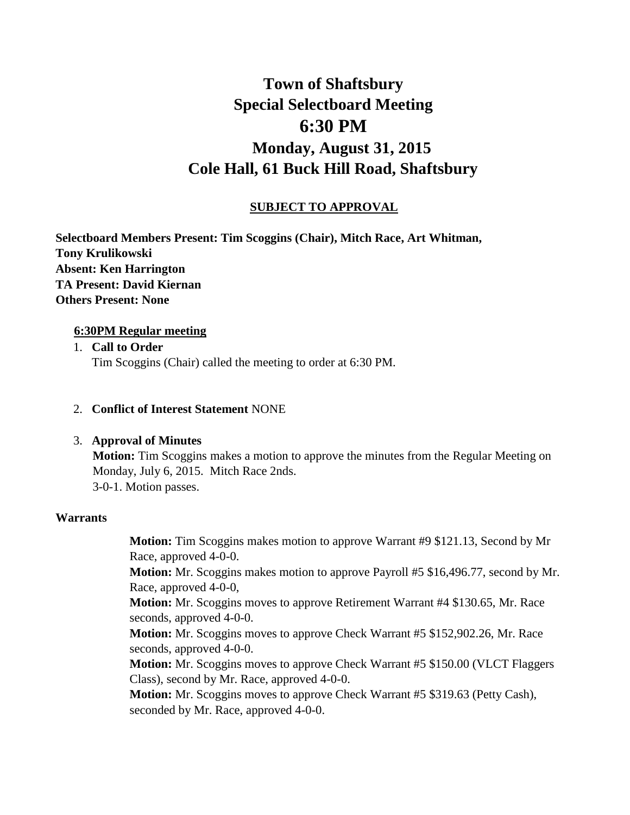# **Town of Shaftsbury Special Selectboard Meeting 6:30 PM Monday, August 31, 2015 Cole Hall, 61 Buck Hill Road, Shaftsbury**

# **SUBJECT TO APPROVAL**

**Selectboard Members Present: Tim Scoggins (Chair), Mitch Race, Art Whitman, Tony Krulikowski Absent: Ken Harrington TA Present: David Kiernan Others Present: None**

# **6:30PM Regular meeting**

- 1. **Call to Order**  Tim Scoggins (Chair) called the meeting to order at 6:30 PM.
- 2. **Conflict of Interest Statement** NONE

# 3. **Approval of Minutes**

**Motion:** Tim Scoggins makes a motion to approve the minutes from the Regular Meeting on Monday, July 6, 2015. Mitch Race 2nds. 3-0-1. Motion passes.

# **Warrants**

**Motion:** Tim Scoggins makes motion to approve Warrant #9 \$121.13, Second by Mr Race, approved 4-0-0.

**Motion:** Mr. Scoggins makes motion to approve Payroll #5 \$16,496.77, second by Mr. Race, approved 4-0-0,

**Motion:** Mr. Scoggins moves to approve Retirement Warrant #4 \$130.65, Mr. Race seconds, approved 4-0-0.

**Motion:** Mr. Scoggins moves to approve Check Warrant #5 \$152,902.26, Mr. Race seconds, approved 4-0-0.

**Motion:** Mr. Scoggins moves to approve Check Warrant #5 \$150.00 (VLCT Flaggers Class), second by Mr. Race, approved 4-0-0.

**Motion:** Mr. Scoggins moves to approve Check Warrant #5 \$319.63 (Petty Cash), seconded by Mr. Race, approved 4-0-0.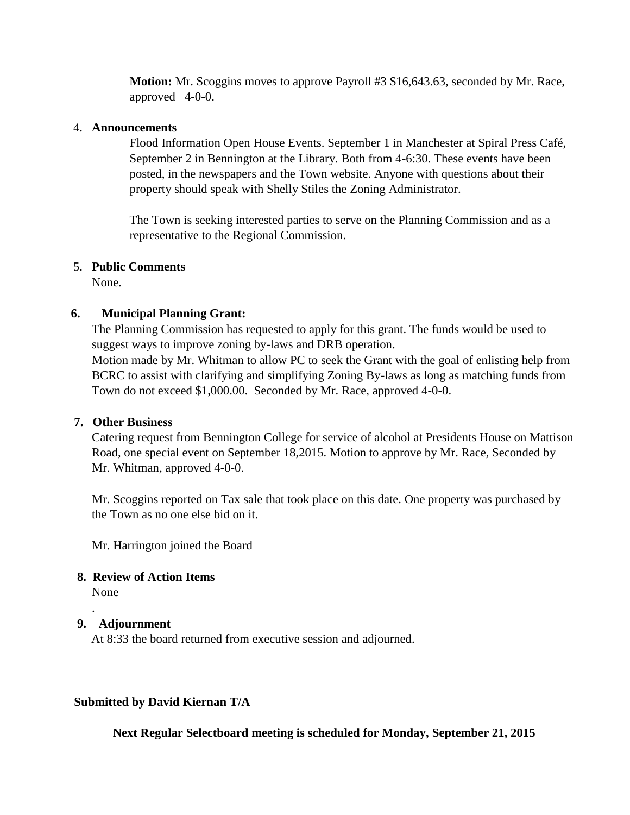**Motion:** Mr. Scoggins moves to approve Payroll #3 \$16,643.63, seconded by Mr. Race, approved 4-0-0.

#### 4. **Announcements**

Flood Information Open House Events. September 1 in Manchester at Spiral Press Café, September 2 in Bennington at the Library. Both from 4-6:30. These events have been posted, in the newspapers and the Town website. Anyone with questions about their property should speak with Shelly Stiles the Zoning Administrator.

The Town is seeking interested parties to serve on the Planning Commission and as a representative to the Regional Commission.

#### 5. **Public Comments**

None.

# **6. Municipal Planning Grant:**

The Planning Commission has requested to apply for this grant. The funds would be used to suggest ways to improve zoning by-laws and DRB operation. Motion made by Mr. Whitman to allow PC to seek the Grant with the goal of enlisting help from BCRC to assist with clarifying and simplifying Zoning By-laws as long as matching funds from Town do not exceed \$1,000.00. Seconded by Mr. Race, approved 4-0-0.

# **7. Other Business**

Catering request from Bennington College for service of alcohol at Presidents House on Mattison Road, one special event on September 18,2015. Motion to approve by Mr. Race, Seconded by Mr. Whitman, approved 4-0-0.

Mr. Scoggins reported on Tax sale that took place on this date. One property was purchased by the Town as no one else bid on it.

Mr. Harrington joined the Board

# **8. Review of Action Items**

None

.

# **9. Adjournment**

At 8:33 the board returned from executive session and adjourned.

# **Submitted by David Kiernan T/A**

**Next Regular Selectboard meeting is scheduled for Monday, September 21, 2015**